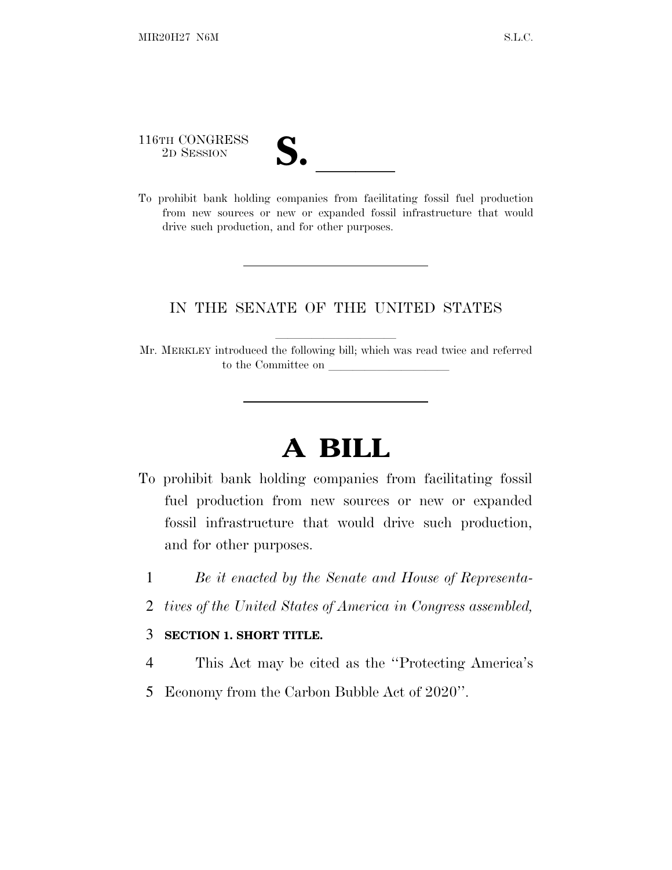116TH CONGRESS

| $\blacksquare$<br>$\overline{\mathcal{U}}$ |  |
|--------------------------------------------|--|
|                                            |  |

116TH CONGRESS<br>
<sup>2D SESSION</sup><br> **S.** <u>Indianal companies</u> from facilitating fossil fuel production from new sources or new or expanded fossil infrastructure that would drive such production, and for other purposes.

## IN THE SENATE OF THE UNITED STATES

Mr. MERKLEY introduced the following bill; which was read twice and referred to the Committee on  $\_\_$ 

## **A BILL**

- To prohibit bank holding companies from facilitating fossil fuel production from new sources or new or expanded fossil infrastructure that would drive such production, and for other purposes.
	- 1 *Be it enacted by the Senate and House of Representa-*
	- 2 *tives of the United States of America in Congress assembled,*

## 3 **SECTION 1. SHORT TITLE.**

- 4 This Act may be cited as the ''Protecting America's
- 5 Economy from the Carbon Bubble Act of 2020''.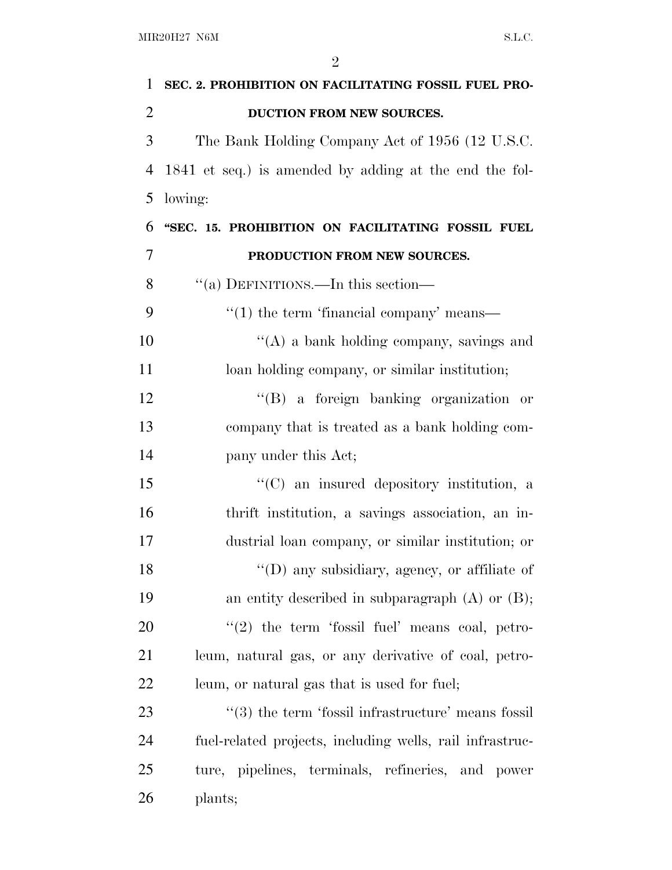| 1              | SEC. 2. PROHIBITION ON FACILITATING FOSSIL FUEL PRO-     |
|----------------|----------------------------------------------------------|
| $\overline{2}$ | DUCTION FROM NEW SOURCES.                                |
| 3              | The Bank Holding Company Act of 1956 (12 U.S.C.          |
| 4              | 1841 et seq.) is amended by adding at the end the fol-   |
| 5              | lowing:                                                  |
| 6              | "SEC. 15. PROHIBITION ON FACILITATING FOSSIL FUEL        |
| $\overline{7}$ | PRODUCTION FROM NEW SOURCES.                             |
| 8              | "(a) DEFINITIONS.—In this section—                       |
| 9              | $\lq(1)$ the term 'financial company' means—             |
| 10             | $\lq\lq$ a bank holding company, savings and             |
| 11             | loan holding company, or similar institution;            |
| 12             | "(B) a foreign banking organization or                   |
| 13             | company that is treated as a bank holding com-           |
| 14             | pany under this Act;                                     |
| 15             | $\lq\lq$ (C) an insured depository institution, a        |
| 16             | thrift institution, a savings association, an in-        |
| 17             | dustrial loan company, or similar institution; or        |
| 18             | "(D) any subsidiary, agency, or affiliate of             |
| 19             | an entity described in subparagraph $(A)$ or $(B)$ ;     |
| <b>20</b>      | $\lq(2)$ the term 'fossil fuel' means coal, petro-       |
| 21             | leum, natural gas, or any derivative of coal, petro-     |
| 22             | leum, or natural gas that is used for fuel;              |
| 23             | "(3) the term 'fossil infrastructure' means fossil       |
| 24             | fuel-related projects, including wells, rail infrastruc- |
| 25             | ture, pipelines, terminals, refineries, and power        |
| 26             | plants;                                                  |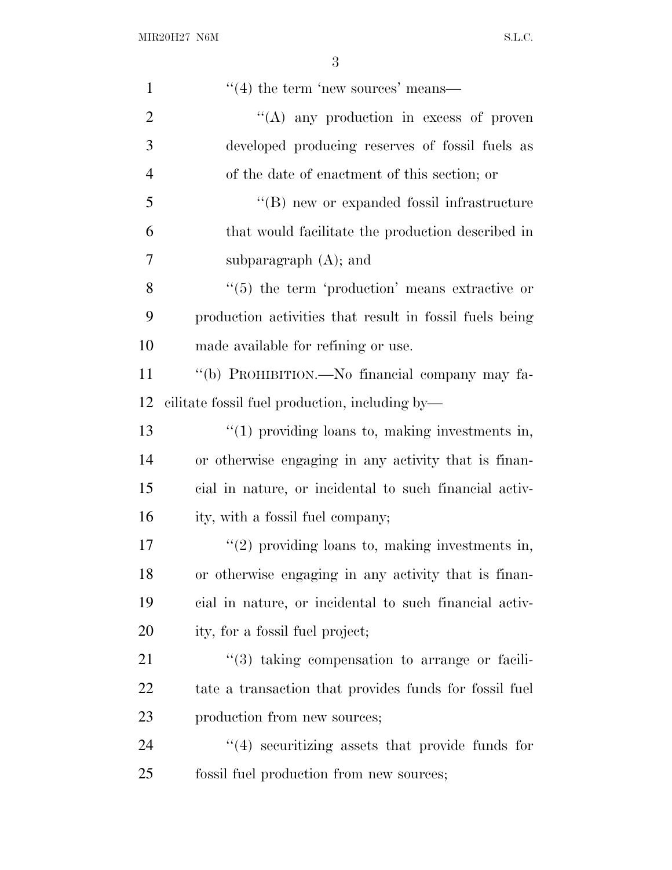| $\mathbf{1}$   | $\cdot\cdot\cdot(4)$ the term 'new sources' means—             |
|----------------|----------------------------------------------------------------|
| $\overline{2}$ | $\lq\lq$ any production in excess of proven                    |
| 3              | developed producing reserves of fossil fuels as                |
| $\overline{4}$ | of the date of enactment of this section; or                   |
| 5              | "(B) new or expanded fossil infrastructure                     |
| 6              | that would facilitate the production described in              |
| 7              | subparagraph $(A)$ ; and                                       |
| 8              | $\lq(5)$ the term 'production' means extractive or             |
| 9              | production activities that result in fossil fuels being        |
| 10             | made available for refining or use.                            |
| 11             | "(b) PROHIBITION.—No financial company may fa-                 |
| 12             | cilitate fossil fuel production, including by—                 |
| 13             | $"(1)$ providing loans to, making investments in,              |
| 14             | or otherwise engaging in any activity that is finan-           |
| 15             | cial in nature, or incidental to such financial activ-         |
| 16             | ity, with a fossil fuel company;                               |
| 17             | $"(2)$ providing loans to, making investments in,              |
| 18             | or otherwise engaging in any activity that is finan-           |
| 19             | cial in nature, or incidental to such financial activ-         |
| 20             | ity, for a fossil fuel project;                                |
| 21             | $\cdot\cdot\cdot(3)$ taking compensation to arrange or facili- |
| 22             | tate a transaction that provides funds for fossil fuel         |
| 23             | production from new sources;                                   |
| 24             | $\cdot$ (4) securitizing assets that provide funds for         |
| 25             | fossil fuel production from new sources;                       |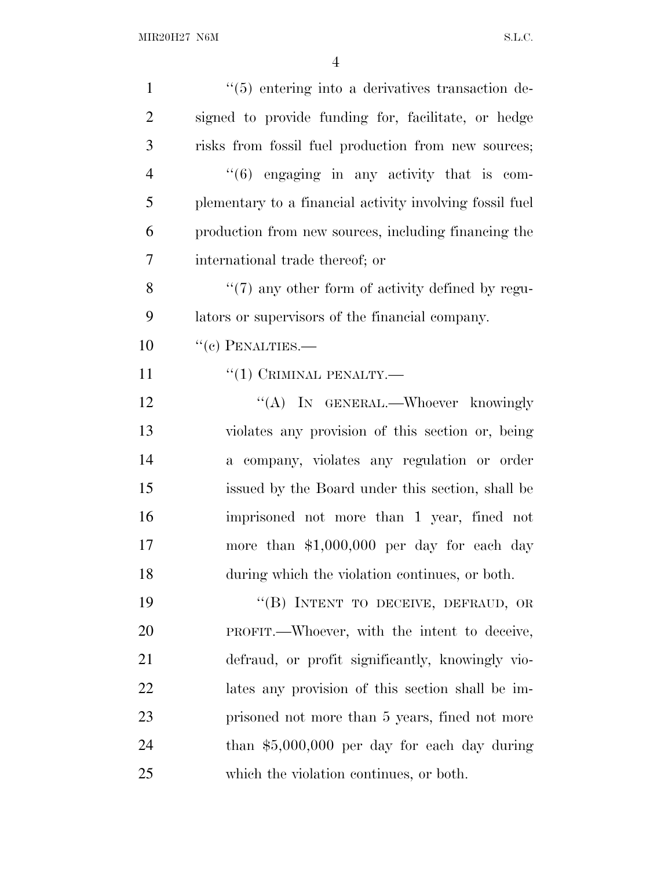| $\mathbf{1}$   | $\cdot\cdot$ (5) entering into a derivatives transaction de- |
|----------------|--------------------------------------------------------------|
| $\overline{2}$ | signed to provide funding for, facilitate, or hedge          |
| 3              | risks from fossil fuel production from new sources;          |
| $\overline{4}$ | $((6)$ engaging in any activity that is com-                 |
| 5              | plementary to a financial activity involving fossil fuel     |
| 6              | production from new sources, including financing the         |
| 7              | international trade thereof; or                              |
| 8              | "(7) any other form of activity defined by regu-             |
| 9              | lators or supervisors of the financial company.              |
| 10             | $``(c)$ PENALTIES.—                                          |
| 11             | $``(1)$ CRIMINAL PENALTY.—                                   |
| 12             | "(A) IN GENERAL.—Whoever knowingly                           |
| 13             | violates any provision of this section or, being             |
| 14             | a company, violates any regulation or order                  |
| 15             | issued by the Board under this section, shall be             |
| 16             | imprisoned not more than 1 year, fined not                   |
| 17             | more than $$1,000,000$ per day for each day                  |
| 18             | during which the violation continues, or both.               |
| 19             | "(B) INTENT TO DECEIVE, DEFRAUD, OR                          |
| 20             | PROFIT.—Whoever, with the intent to deceive,                 |
| 21             | defraud, or profit significantly, knowingly vio-             |
| 22             | lates any provision of this section shall be im-             |
| 23             | prisoned not more than 5 years, fined not more               |
| 24             | than $$5,000,000$ per day for each day during                |
| 25             | which the violation continues, or both.                      |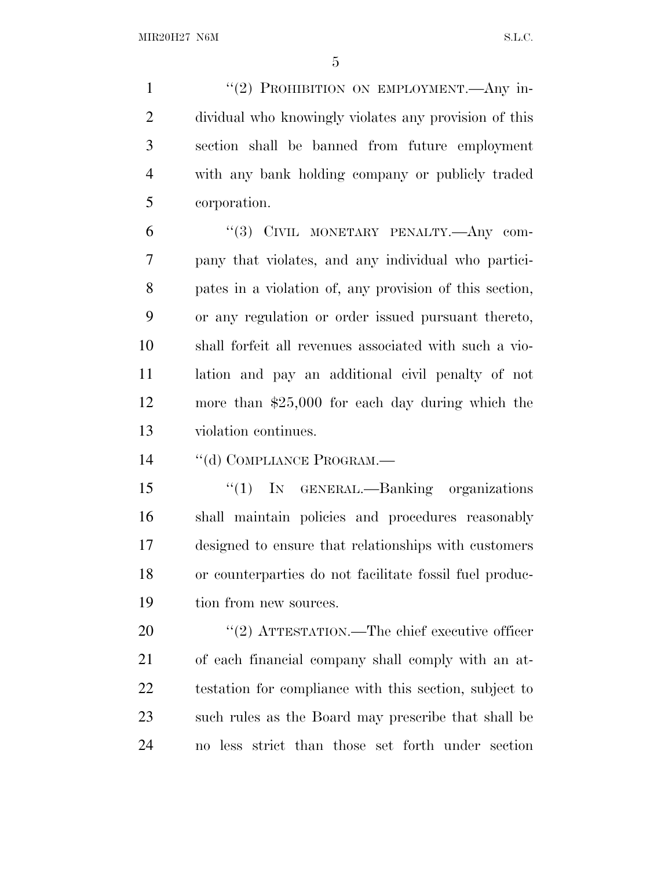1 "(2) PROHIBITION ON EMPLOYMENT.—Any in- dividual who knowingly violates any provision of this section shall be banned from future employment with any bank holding company or publicly traded corporation.

 ''(3) CIVIL MONETARY PENALTY.—Any com- pany that violates, and any individual who partici- pates in a violation of, any provision of this section, or any regulation or order issued pursuant thereto, shall forfeit all revenues associated with such a vio- lation and pay an additional civil penalty of not more than \$25,000 for each day during which the violation continues.

14 "(d) COMPLIANCE PROGRAM.—

 ''(1) IN GENERAL.—Banking organizations shall maintain policies and procedures reasonably designed to ensure that relationships with customers or counterparties do not facilitate fossil fuel produc-tion from new sources.

 $\frac{1}{2}$  ATTESTATION.—The chief executive officer of each financial company shall comply with an at- testation for compliance with this section, subject to such rules as the Board may prescribe that shall be no less strict than those set forth under section